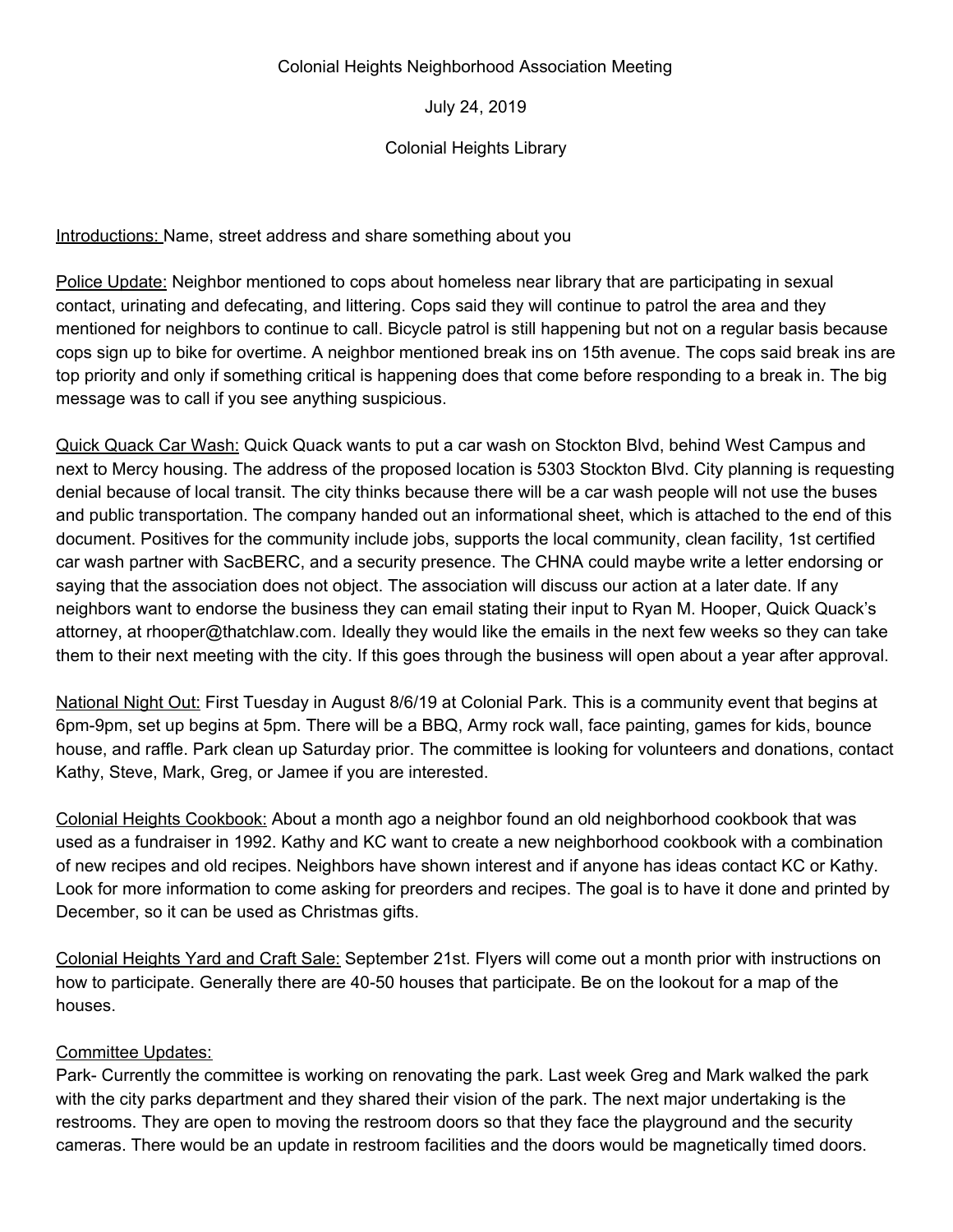## Colonial Heights Neighborhood Association Meeting

July 24, 2019

## Colonial Heights Library

Introductions: Name, street address and share something about you

Police Update: Neighbor mentioned to cops about homeless near library that are participating in sexual contact, urinating and defecating, and littering. Cops said they will continue to patrol the area and they mentioned for neighbors to continue to call. Bicycle patrol is still happening but not on a regular basis because cops sign up to bike for overtime. A neighbor mentioned break ins on 15th avenue. The cops said break ins are top priority and only if something critical is happening does that come before responding to a break in. The big message was to call if you see anything suspicious.

Quick Quack Car Wash: Quick Quack wants to put a car wash on Stockton Blvd, behind West Campus and next to Mercy housing. The address of the proposed location is 5303 Stockton Blvd. City planning is requesting denial because of local transit. The city thinks because there will be a car wash people will not use the buses and public transportation. The company handed out an informational sheet, which is attached to the end of this document. Positives for the community include jobs, supports the local community, clean facility, 1st certified car wash partner with SacBERC, and a security presence. The CHNA could maybe write a letter endorsing or saying that the association does not object. The association will discuss our action at a later date. If any neighbors want to endorse the business they can email stating their input to Ryan M. Hooper, Quick Quack's attorney, at rhooper@thatchlaw.com. Ideally they would like the emails in the next few weeks so they can take them to their next meeting with the city. If this goes through the business will open about a year after approval.

National Night Out: First Tuesday in August 8/6/19 at Colonial Park. This is a community event that begins at 6pm-9pm, set up begins at 5pm. There will be a BBQ, Army rock wall, face painting, games for kids, bounce house, and raffle. Park clean up Saturday prior. The committee is looking for volunteers and donations, contact Kathy, Steve, Mark, Greg, or Jamee if you are interested.

Colonial Heights Cookbook: About a month ago a neighbor found an old neighborhood cookbook that was used as a fundraiser in 1992. Kathy and KC want to create a new neighborhood cookbook with a combination of new recipes and old recipes. Neighbors have shown interest and if anyone has ideas contact KC or Kathy. Look for more information to come asking for preorders and recipes. The goal is to have it done and printed by December, so it can be used as Christmas gifts.

Colonial Heights Yard and Craft Sale: September 21st. Flyers will come out a month prior with instructions on how to participate. Generally there are 40-50 houses that participate. Be on the lookout for a map of the houses.

## Committee Updates:

Park- Currently the committee is working on renovating the park. Last week Greg and Mark walked the park with the city parks department and they shared their vision of the park. The next major undertaking is the restrooms. They are open to moving the restroom doors so that they face the playground and the security cameras. There would be an update in restroom facilities and the doors would be magnetically timed doors.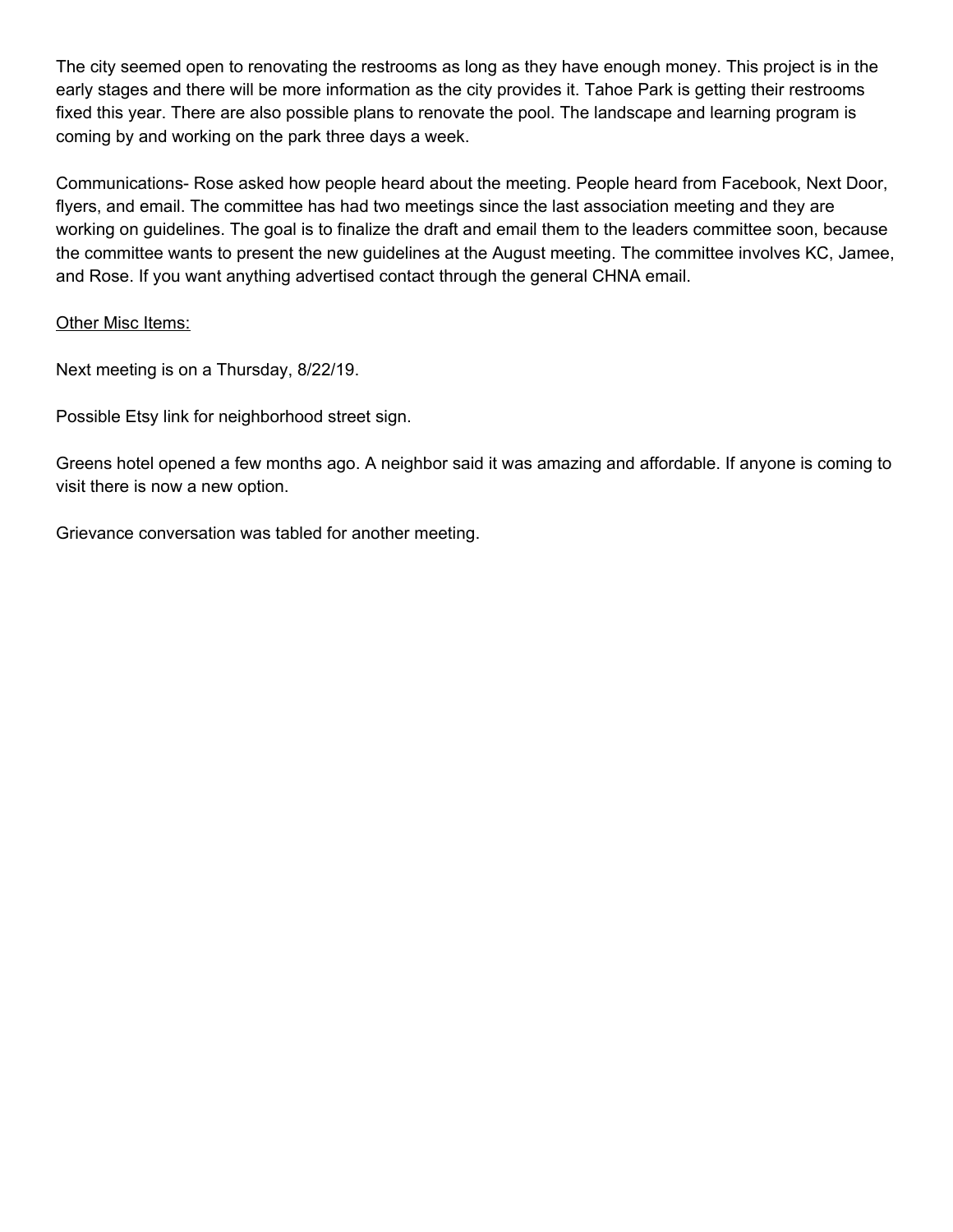The city seemed open to renovating the restrooms as long as they have enough money. This project is in the early stages and there will be more information as the city provides it. Tahoe Park is getting their restrooms fixed this year. There are also possible plans to renovate the pool. The landscape and learning program is coming by and working on the park three days a week.

Communications- Rose asked how people heard about the meeting. People heard from Facebook, Next Door, flyers, and email. The committee has had two meetings since the last association meeting and they are working on guidelines. The goal is to finalize the draft and email them to the leaders committee soon, because the committee wants to present the new guidelines at the August meeting. The committee involves KC, Jamee, and Rose. If you want anything advertised contact through the general CHNA email.

## Other Misc Items:

Next meeting is on a Thursday, 8/22/19.

Possible Etsy link for neighborhood street sign.

Greens hotel opened a few months ago. A neighbor said it was amazing and affordable. If anyone is coming to visit there is now a new option.

Grievance conversation was tabled for another meeting.